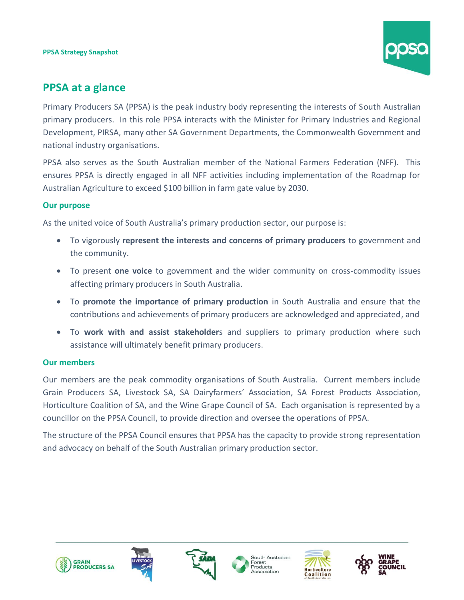

# **PPSA at a glance**

Primary Producers SA (PPSA) is the peak industry body representing the interests of South Australian primary producers. In this role PPSA interacts with the Minister for Primary Industries and Regional Development, PIRSA, many other SA Government Departments, the Commonwealth Government and national industry organisations.

PPSA also serves as the South Australian member of the National Farmers Federation (NFF). This ensures PPSA is directly engaged in all NFF activities including implementation of the Roadmap for Australian Agriculture to exceed \$100 billion in farm gate value by 2030.

# **Our purpose**

As the united voice of South Australia's primary production sector, our purpose is:

- To vigorously **represent the interests and concerns of primary producers** to government and the community.
- To present **one voice** to government and the wider community on cross-commodity issues affecting primary producers in South Australia.
- To **promote the importance of primary production** in South Australia and ensure that the contributions and achievements of primary producers are acknowledged and appreciated, and
- To **work with and assist stakeholder**s and suppliers to primary production where such assistance will ultimately benefit primary producers.

# **Our members**

Our members are the peak commodity organisations of South Australia. Current members include Grain Producers SA, Livestock SA, SA Dairyfarmers' Association, SA Forest Products Association, Horticulture Coalition of SA, and the Wine Grape Council of SA. Each organisation is represented by a councillor on the PPSA Council, to provide direction and oversee the operations of PPSA.

The structure of the PPSA Council ensures that PPSA has the capacity to provide strong representation and advocacy on behalf of the South Australian primary production sector.











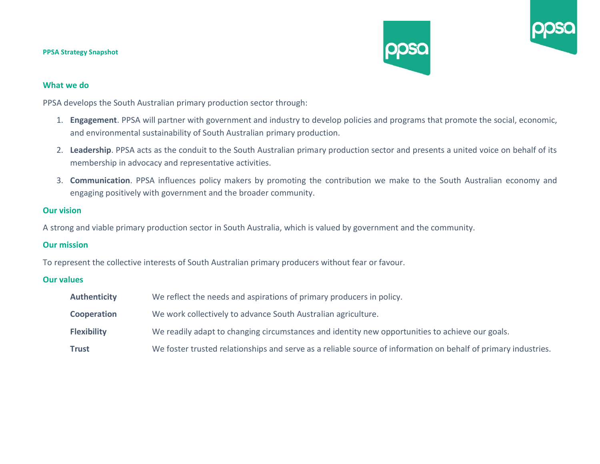

### **What we do**

PPSA develops the South Australian primary production sector through:

- 1. **Engagement**. PPSA will partner with government and industry to develop policies and programs that promote the social, economic, and environmental sustainability of South Australian primary production.
- 2. **Leadership**. PPSA acts as the conduit to the South Australian primary production sector and presents a united voice on behalf of its membership in advocacy and representative activities.
- 3. **Communication**. PPSA influences policy makers by promoting the contribution we make to the South Australian economy and engaging positively with government and the broader community.

### **Our vision**

A strong and viable primary production sector in South Australia, which is valued by government and the community.

# **Our mission**

To represent the collective interests of South Australian primary producers without fear or favour.

# **Our values**

| <b>Authenticity</b> | We reflect the needs and aspirations of primary producers in policy.                                           |
|---------------------|----------------------------------------------------------------------------------------------------------------|
| <b>Cooperation</b>  | We work collectively to advance South Australian agriculture.                                                  |
| <b>Flexibility</b>  | We readily adapt to changing circumstances and identity new opportunities to achieve our goals.                |
| Trust               | We foster trusted relationships and serve as a reliable source of information on behalf of primary industries. |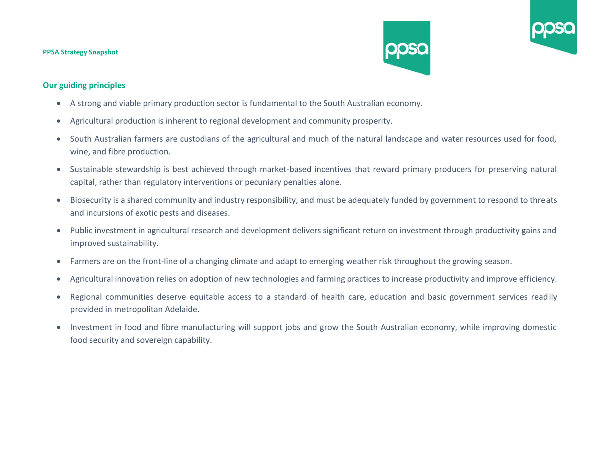#### **PPSA Strategy Snapshot**





- A strong and viable primary production sector is fundamental to the South Australian economy.
- Agricultural production is inherent to regional development and community prosperity.
- South Australian farmers are custodians of the agricultural and much of the natural landscape and water resources used for food, wine, and fibre production.
- Sustainable stewardship is best achieved through market-based incentives that reward primary producers for preserving natural capital, rather than regulatory interventions or pecuniary penalties alone.
- Biosecurity is a shared community and industry responsibility, and must be adequately funded by government to respond to threats and incursions of exotic pests and diseases.
- Public investment in agricultural research and development delivers significant return on investment through productivity gains and improved sustainability.
- Farmers are on the front-line of a changing climate and adapt to emerging weather risk throughout the growing season.
- Agricultural innovation relies on adoption of new technologies and farming practices to increase productivity and improve efficiency.
- Regional communities deserve equitable access to a standard of health care, education and basic government services readily provided in metropolitan Adelaide.
- Investment in food and fibre manufacturing will support jobs and grow the South Australian economy, while improving domestic food security and sovereign capability.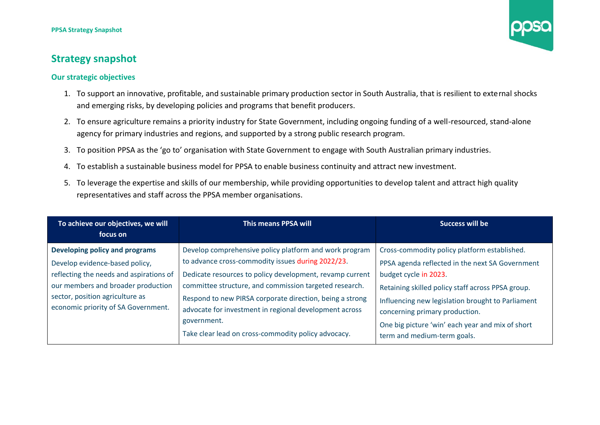

#### **Our strategic objectives**

- 1. To support an innovative, profitable, and sustainable primary production sector in South Australia, that is resilient to external shocks and emerging risks, by developing policies and programs that benefit producers.
- 2. To ensure agriculture remains a priority industry for State Government, including ongoing funding of a well-resourced, stand-alone agency for primary industries and regions, and supported by a strong public research program.
- 3. To position PPSA as the 'go to' organisation with State Government to engage with South Australian primary industries.
- 4. To establish a sustainable business model for PPSA to enable business continuity and attract new investment.
- 5. To leverage the expertise and skills of our membership, while providing opportunities to develop talent and attract high quality representatives and staff across the PPSA member organisations.

| To achieve our objectives, we will      | This means PPSA will                                     | Success will be                                   |
|-----------------------------------------|----------------------------------------------------------|---------------------------------------------------|
| focus on                                |                                                          |                                                   |
| Developing policy and programs          | Develop comprehensive policy platform and work program   | Cross-commodity policy platform established.      |
| Develop evidence-based policy,          | to advance cross-commodity issues during 2022/23.        | PPSA agenda reflected in the next SA Government   |
| reflecting the needs and aspirations of | Dedicate resources to policy development, revamp current | budget cycle in 2023.                             |
| our members and broader production      | committee structure, and commission targeted research.   | Retaining skilled policy staff across PPSA group. |
| sector, position agriculture as         | Respond to new PIRSA corporate direction, being a strong | Influencing new legislation brought to Parliament |
| economic priority of SA Government.     | advocate for investment in regional development across   | concerning primary production.                    |
|                                         | government.                                              | One big picture 'win' each year and mix of short  |
|                                         | Take clear lead on cross-commodity policy advocacy.      | term and medium-term goals.                       |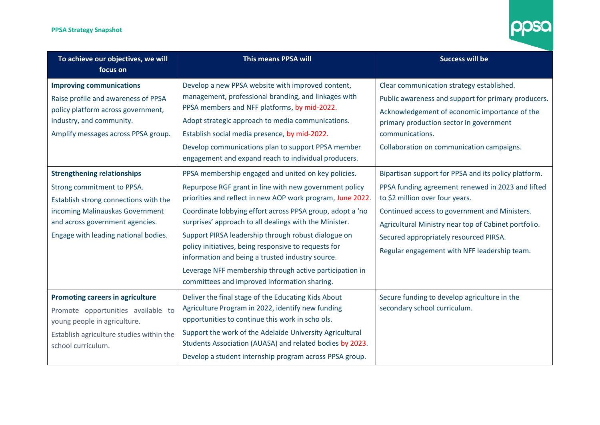

| To achieve our objectives, we will<br>focus on                                                                                                                                                                          | <b>This means PPSA will</b>                                                                                                                                                                                                                                                                                                                                                                                                                                                                                                                                                      | <b>Success will be</b>                                                                                                                                                                                                                                                                                                                          |
|-------------------------------------------------------------------------------------------------------------------------------------------------------------------------------------------------------------------------|----------------------------------------------------------------------------------------------------------------------------------------------------------------------------------------------------------------------------------------------------------------------------------------------------------------------------------------------------------------------------------------------------------------------------------------------------------------------------------------------------------------------------------------------------------------------------------|-------------------------------------------------------------------------------------------------------------------------------------------------------------------------------------------------------------------------------------------------------------------------------------------------------------------------------------------------|
| <b>Improving communications</b><br>Raise profile and awareness of PPSA<br>policy platform across government,<br>industry, and community.<br>Amplify messages across PPSA group.                                         | Develop a new PPSA website with improved content,<br>management, professional branding, and linkages with<br>PPSA members and NFF platforms, by mid-2022.<br>Adopt strategic approach to media communications.<br>Establish social media presence, by mid-2022.<br>Develop communications plan to support PPSA member<br>engagement and expand reach to individual producers.                                                                                                                                                                                                    | Clear communication strategy established.<br>Public awareness and support for primary producers.<br>Acknowledgement of economic importance of the<br>primary production sector in government<br>communications.<br>Collaboration on communication campaigns.                                                                                    |
| <b>Strengthening relationships</b><br>Strong commitment to PPSA.<br>Establish strong connections with the<br>incoming Malinauskas Government<br>and across government agencies.<br>Engage with leading national bodies. | PPSA membership engaged and united on key policies.<br>Repurpose RGF grant in line with new government policy<br>priorities and reflect in new AOP work program, June 2022.<br>Coordinate lobbying effort across PPSA group, adopt a 'no<br>surprises' approach to all dealings with the Minister.<br>Support PIRSA leadership through robust dialogue on<br>policy initiatives, being responsive to requests for<br>information and being a trusted industry source.<br>Leverage NFF membership through active participation in<br>committees and improved information sharing. | Bipartisan support for PPSA and its policy platform.<br>PPSA funding agreement renewed in 2023 and lifted<br>to \$2 million over four years.<br>Continued access to government and Ministers.<br>Agricultural Ministry near top of Cabinet portfolio.<br>Secured appropriately resourced PIRSA.<br>Regular engagement with NFF leadership team. |
| <b>Promoting careers in agriculture</b><br>Promote opportunities available to<br>young people in agriculture.<br>Establish agriculture studies within the<br>school curriculum.                                         | Deliver the final stage of the Educating Kids About<br>Agriculture Program in 2022, identify new funding<br>opportunities to continue this work in scho ols.<br>Support the work of the Adelaide University Agricultural<br>Students Association (AUASA) and related bodies by 2023.<br>Develop a student internship program across PPSA group.                                                                                                                                                                                                                                  | Secure funding to develop agriculture in the<br>secondary school curriculum.                                                                                                                                                                                                                                                                    |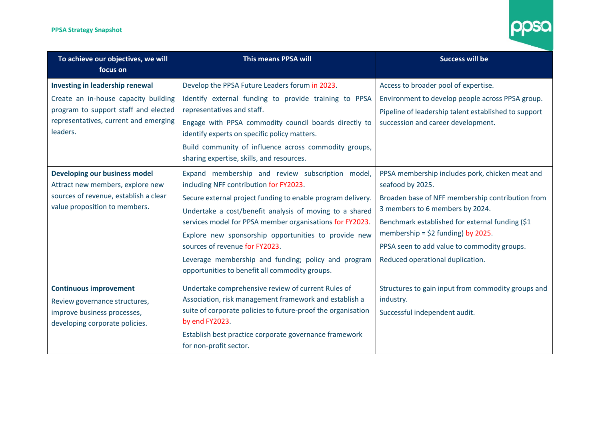

| To achieve our objectives, we will<br>focus on                                                                                                                       | <b>This means PPSA will</b>                                                                                                                                                                                                                                                                                                                                                                                                                                                         | <b>Success will be</b>                                                                                                                                                                                                                                                                                                                  |
|----------------------------------------------------------------------------------------------------------------------------------------------------------------------|-------------------------------------------------------------------------------------------------------------------------------------------------------------------------------------------------------------------------------------------------------------------------------------------------------------------------------------------------------------------------------------------------------------------------------------------------------------------------------------|-----------------------------------------------------------------------------------------------------------------------------------------------------------------------------------------------------------------------------------------------------------------------------------------------------------------------------------------|
| Investing in leadership renewal<br>Create an in-house capacity building<br>program to support staff and elected<br>representatives, current and emerging<br>leaders. | Develop the PPSA Future Leaders forum in 2023.<br>Identify external funding to provide training to PPSA<br>representatives and staff.<br>Engage with PPSA commodity council boards directly to<br>identify experts on specific policy matters.<br>Build community of influence across commodity groups,<br>sharing expertise, skills, and resources.                                                                                                                                | Access to broader pool of expertise.<br>Environment to develop people across PPSA group.<br>Pipeline of leadership talent established to support<br>succession and career development.                                                                                                                                                  |
| <b>Developing our business model</b><br>Attract new members, explore new<br>sources of revenue, establish a clear<br>value proposition to members.                   | Expand membership and review subscription model,<br>including NFF contribution for FY2023.<br>Secure external project funding to enable program delivery.<br>Undertake a cost/benefit analysis of moving to a shared<br>services model for PPSA member organisations for FY2023.<br>Explore new sponsorship opportunities to provide new<br>sources of revenue for FY2023.<br>Leverage membership and funding; policy and program<br>opportunities to benefit all commodity groups. | PPSA membership includes pork, chicken meat and<br>seafood by 2025.<br>Broaden base of NFF membership contribution from<br>3 members to 6 members by 2024.<br>Benchmark established for external funding (\$1<br>membership = $$2$ funding) by 2025.<br>PPSA seen to add value to commodity groups.<br>Reduced operational duplication. |
| <b>Continuous improvement</b><br>Review governance structures,<br>improve business processes,<br>developing corporate policies.                                      | Undertake comprehensive review of current Rules of<br>Association, risk management framework and establish a<br>suite of corporate policies to future-proof the organisation<br>by end FY2023.<br>Establish best practice corporate governance framework<br>for non-profit sector.                                                                                                                                                                                                  | Structures to gain input from commodity groups and<br>industry.<br>Successful independent audit.                                                                                                                                                                                                                                        |